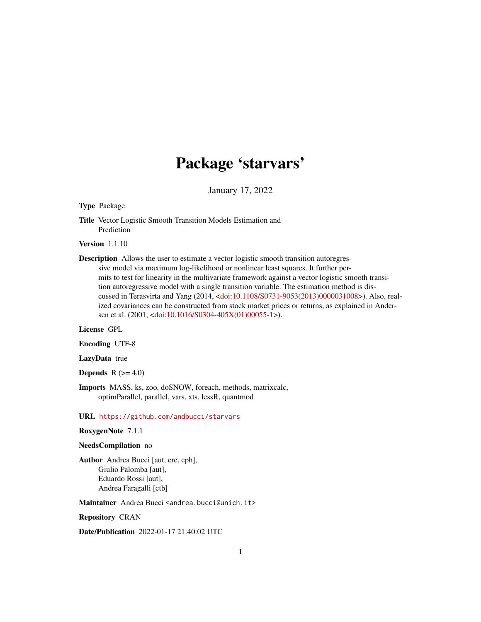# Package 'starvars'

January 17, 2022

#### Type Package

Title Vector Logistic Smooth Transition Models Estimation and Prediction

Version 1.1.10

Description Allows the user to estimate a vector logistic smooth transition autoregressive model via maximum log-likelihood or nonlinear least squares. It further permits to test for linearity in the multivariate framework against a vector logistic smooth transition autoregressive model with a single transition variable. The estimation method is discussed in Terasvirta and Yang (2014, [<doi:10.1108/S0731-9053\(2013\)0000031008>](https://doi.org/10.1108/S0731-9053(2013)0000031008)). Also, realized covariances can be constructed from stock market prices or returns, as explained in Ander-sen et al. (2001, [<doi:10.1016/S0304-405X\(01\)00055-1>](https://doi.org/10.1016/S0304-405X(01)00055-1)).

#### License GPL

#### Encoding UTF-8

#### LazyData true

**Depends**  $R$  ( $>= 4.0$ )

Imports MASS, ks, zoo, doSNOW, foreach, methods, matrixcalc, optimParallel, parallel, vars, xts, lessR, quantmod

#### URL <https://github.com/andbucci/starvars>

#### RoxygenNote 7.1.1

#### NeedsCompilation no

Author Andrea Bucci [aut, cre, cph], Giulio Palomba [aut], Eduardo Rossi [aut], Andrea Faragalli [ctb]

Maintainer Andrea Bucci <andrea.bucci@unich.it>

Repository CRAN

Date/Publication 2022-01-17 21:40:02 UTC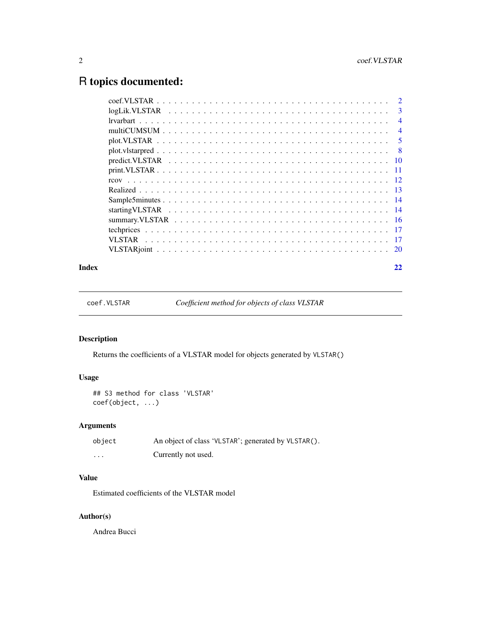## <span id="page-1-0"></span>R topics documented:

| $\overline{\mathbf{3}}$ |
|-------------------------|
| $\overline{4}$          |
| $\overline{4}$          |
| $\overline{5}$          |
| $\overline{8}$          |
|                         |
|                         |
|                         |
|                         |
|                         |
|                         |
|                         |
|                         |
|                         |
|                         |
|                         |

#### **Index** [22](#page-21-0)

coef.VLSTAR *Coefficient method for objects of class VLSTAR*

### Description

Returns the coefficients of a VLSTAR model for objects generated by VLSTAR()

#### Usage

```
## S3 method for class 'VLSTAR'
coef(object, ...)
```
#### Arguments

| object  | An object of class 'VLSTAR'; generated by VLSTAR(). |
|---------|-----------------------------------------------------|
| $\cdot$ | Currently not used.                                 |

#### Value

Estimated coefficients of the VLSTAR model

#### Author(s)

Andrea Bucci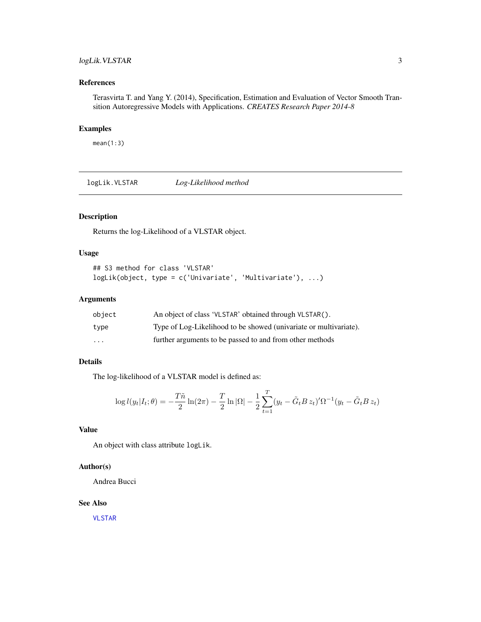#### <span id="page-2-0"></span>logLik.VLSTAR 3

#### References

Terasvirta T. and Yang Y. (2014), Specification, Estimation and Evaluation of Vector Smooth Transition Autoregressive Models with Applications. *CREATES Research Paper 2014-8*

#### Examples

mean(1:3)

logLik.VLSTAR *Log-Likelihood method*

#### Description

Returns the log-Likelihood of a VLSTAR object.

#### Usage

```
## S3 method for class 'VLSTAR'
logLik(object, type = c('Univariate', 'Multivariate'), ...)
```
#### Arguments

| object   | An object of class 'VLSTAR' obtained through VLSTAR().            |
|----------|-------------------------------------------------------------------|
| type     | Type of Log-Likelihood to be showed (univariate or multivariate). |
| $\cdots$ | further arguments to be passed to and from other methods          |

#### Details

The log-likelihood of a VLSTAR model is defined as:

$$
\log l(y_t|I_t; \theta) = -\frac{T\tilde{n}}{2} \ln(2\pi) - \frac{T}{2} \ln |\Omega| - \frac{1}{2} \sum_{t=1}^T (y_t - \tilde{G}_t B z_t)' \Omega^{-1} (y_t - \tilde{G}_t B z_t)
$$

#### Value

An object with class attribute logLik.

#### Author(s)

Andrea Bucci

#### See Also

[VLSTAR](#page-16-1)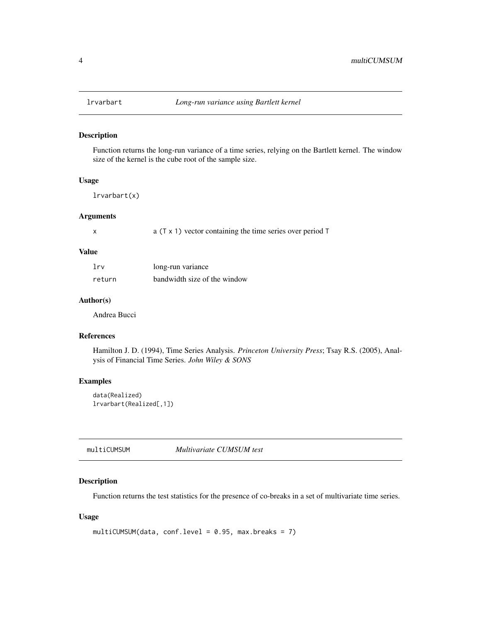<span id="page-3-0"></span>

#### Description

Function returns the long-run variance of a time series, relying on the Bartlett kernel. The window size of the kernel is the cube root of the sample size.

#### Usage

lrvarbart(x)

#### Arguments

x a (T x 1) vector containing the time series over period T

#### Value

| lrv    | long-run variance            |
|--------|------------------------------|
| return | bandwidth size of the window |

#### Author(s)

Andrea Bucci

#### References

Hamilton J. D. (1994), Time Series Analysis. *Princeton University Press*; Tsay R.S. (2005), Analysis of Financial Time Series. *John Wiley & SONS*

#### Examples

data(Realized) lrvarbart(Realized[,1])

multiCUMSUM *Multivariate CUMSUM test*

#### Description

Function returns the test statistics for the presence of co-breaks in a set of multivariate time series.

#### Usage

```
multiCUMSUM(data, conf.level = 0.95, max.breaks = 7)
```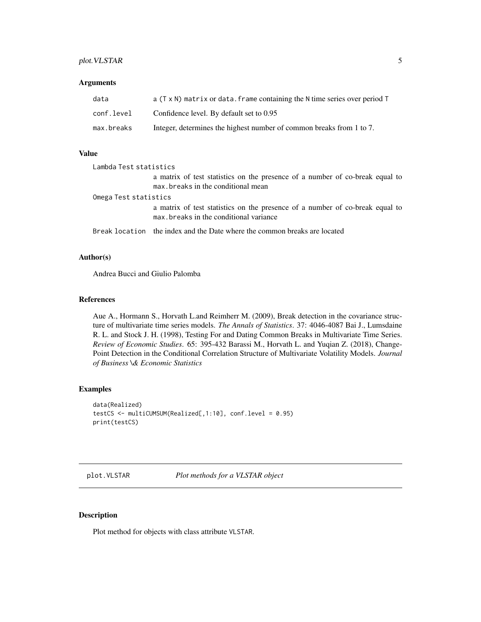#### <span id="page-4-0"></span>plot. VLSTAR 5

#### Arguments

| data       | a $(T \times N)$ matrix or data. frame containing the N time series over period T |
|------------|-----------------------------------------------------------------------------------|
| conf.level | Confidence level. By default set to 0.95                                          |
| max.breaks | Integer, determines the highest number of common breaks from 1 to 7.              |

#### Value

| Lambda Test statistics |                                                                                                                        |  |
|------------------------|------------------------------------------------------------------------------------------------------------------------|--|
|                        | a matrix of test statistics on the presence of a number of co-break equal to<br>max, breaks in the conditional mean    |  |
| Omega Test statistics  |                                                                                                                        |  |
|                        | a matrix of test statistics on the presence of a number of co-break equal to<br>max breaks in the conditional variance |  |
|                        | Break location the index and the Date where the common breaks are located                                              |  |

#### Author(s)

Andrea Bucci and Giulio Palomba

#### References

Aue A., Hormann S., Horvath L.and Reimherr M. (2009), Break detection in the covariance structure of multivariate time series models. *The Annals of Statistics*. 37: 4046-4087 Bai J., Lumsdaine R. L. and Stock J. H. (1998), Testing For and Dating Common Breaks in Multivariate Time Series. *Review of Economic Studies*. 65: 395-432 Barassi M., Horvath L. and Yuqian Z. (2018), Change-Point Detection in the Conditional Correlation Structure of Multivariate Volatility Models. *Journal of Business \& Economic Statistics*

#### Examples

```
data(Realized)
testCS <- multiCUMSUM(Realized[,1:10], conf.level = 0.95)
print(testCS)
```
plot.VLSTAR *Plot methods for a VLSTAR object*

#### Description

Plot method for objects with class attribute VLSTAR.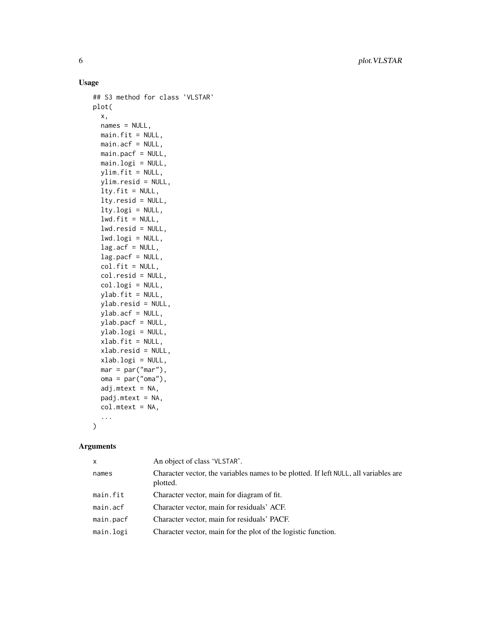#### Usage

```
## S3 method for class 'VLSTAR'
plot(
  x,
 names = NULL,
 main.fit = NULL,main.acf = NULL,
 main.pacf = NULL,
 main.logi = NULL,
 ylim.fit = NULL,
  ylim.resid = NULL,
  lty.fit = NULL,
  lty.resid = NULL,
  lty.logi = NULL,
  lwd.fit = NULL,lwd.resid = NULL,
  lwd.logi = NULL,lag.act = NULL,lag.pack = NULL,col.fit = NULL,
  col.resid = NULL,
  col.logi = NULL,
  ylab.fit = NULL,
 ylab.resid = NULL,
 ylab.acf = NULL,
 ylab.pacf = NULL,
 ylab.logi = NULL,
 xlab.fit = NULL,
 xlab.resid = NULL,
  xlab.logi = NULL,
 mar = par("mar"),oma = par("oma"),
  adj.mtext = NA,
  padj.mtext = NA,col.mtext = NA,
  ...
\mathcal{L}
```
#### Arguments

| $\mathsf{x}$ | An object of class 'VLSTAR'.                                                                     |
|--------------|--------------------------------------------------------------------------------------------------|
| names        | Character vector, the variables names to be plotted. If left NULL, all variables are<br>plotted. |
| main.fit     | Character vector, main for diagram of fit.                                                       |
| main.acf     | Character vector, main for residuals' ACF.                                                       |
| main.pacf    | Character vector, main for residuals' PACF.                                                      |
| main.logi    | Character vector, main for the plot of the logistic function.                                    |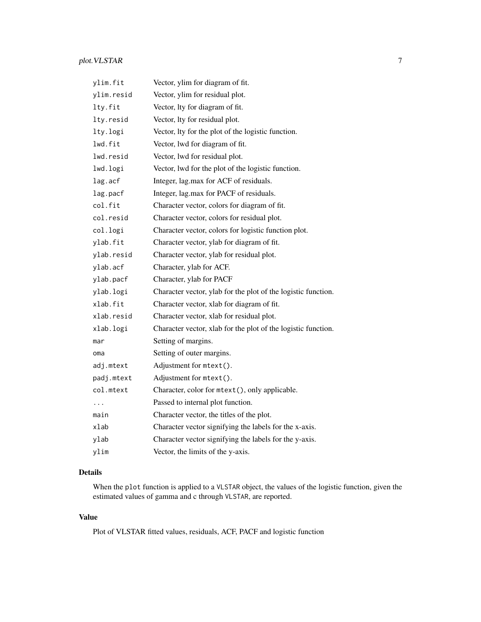### plot. VLSTAR 7

| ylim.fit   | Vector, ylim for diagram of fit.                              |
|------------|---------------------------------------------------------------|
| ylim.resid | Vector, ylim for residual plot.                               |
| lty.fit    | Vector, lty for diagram of fit.                               |
| lty.resid  | Vector, lty for residual plot.                                |
| lty.logi   | Vector, lty for the plot of the logistic function.            |
| lwd.fit    | Vector, lwd for diagram of fit.                               |
| lwd.resid  | Vector, lwd for residual plot.                                |
| lwd.logi   | Vector, lwd for the plot of the logistic function.            |
| lag.acf    | Integer, lag.max for ACF of residuals.                        |
| lag.pacf   | Integer, lag.max for PACF of residuals.                       |
| col.fit    | Character vector, colors for diagram of fit.                  |
| col.resid  | Character vector, colors for residual plot.                   |
| col.logi   | Character vector, colors for logistic function plot.          |
| ylab.fit   | Character vector, ylab for diagram of fit.                    |
| ylab.resid | Character vector, ylab for residual plot.                     |
| ylab.acf   | Character, ylab for ACF.                                      |
| ylab.pacf  | Character, ylab for PACF                                      |
| ylab.logi  | Character vector, ylab for the plot of the logistic function. |
| xlab.fit   | Character vector, xlab for diagram of fit.                    |
| xlab.resid | Character vector, xlab for residual plot.                     |
| xlab.logi  | Character vector, xlab for the plot of the logistic function. |
| mar        | Setting of margins.                                           |
| oma        | Setting of outer margins.                                     |
| adj.mtext  | Adjustment for mtext().                                       |
| padj.mtext | Adjustment for mtext().                                       |
| col.mtext  | Character, color for mtext(), only applicable.                |
| $\ddots$   | Passed to internal plot function.                             |
| main       | Character vector, the titles of the plot.                     |
| xlab       | Character vector signifying the labels for the x-axis.        |
| ylab       | Character vector signifying the labels for the y-axis.        |
| ylim       | Vector, the limits of the y-axis.                             |

### Details

When the plot function is applied to a VLSTAR object, the values of the logistic function, given the estimated values of gamma and c through VLSTAR, are reported.

#### Value

Plot of VLSTAR fitted values, residuals, ACF, PACF and logistic function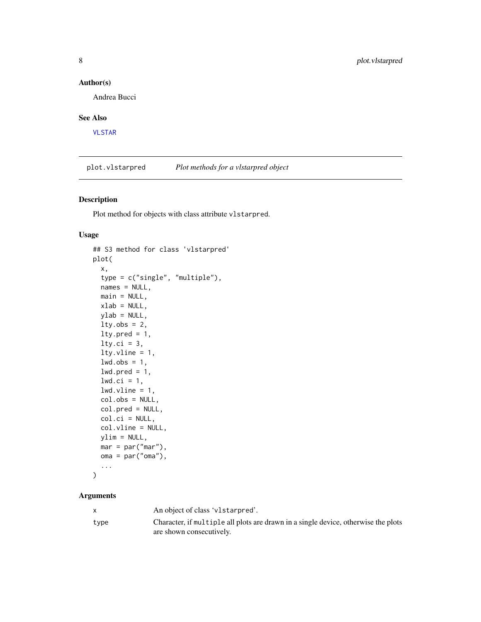#### <span id="page-7-0"></span>Author(s)

Andrea Bucci

#### See Also

[VLSTAR](#page-16-1)

plot.vlstarpred *Plot methods for a vlstarpred object*

#### Description

Plot method for objects with class attribute vlstarpred.

#### Usage

```
## S3 method for class 'vlstarpred'
plot(
  x,
  type = c("single", "multiple"),
 names = NULL,
 main = NULL,xlab = NULL,ylab = NULL,
  lty.obs = 2,
  lty.pred = 1,
  lty.ci = 3,
  lty.vline = 1,
  lwd.obs = 1,
  1wd.pred = 1,
  1wd.ci = 1,
  1wd.vline = 1,
  col.obs = NULL,col.pred = NULL,
  col.ci = NULL,
  col.vline = NULL,
 ylim = NULL,
 mar = par("mar"),oma = par("oma"),
  ...
```
#### $\mathcal{L}$

#### Arguments

|      | An object of class 'v1starpred'.                                                   |
|------|------------------------------------------------------------------------------------|
| type | Character, if multiple all plots are drawn in a single device, otherwise the plots |
|      | are shown consecutively.                                                           |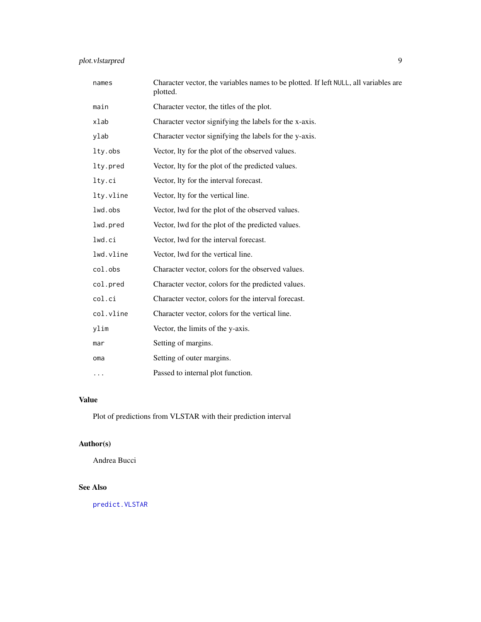### <span id="page-8-0"></span>plot.vlstarpred 9

| names     | Character vector, the variables names to be plotted. If left NULL, all variables are<br>plotted. |
|-----------|--------------------------------------------------------------------------------------------------|
| main      | Character vector, the titles of the plot.                                                        |
| xlab      | Character vector signifying the labels for the x-axis.                                           |
| ylab      | Character vector signifying the labels for the y-axis.                                           |
| lty.obs   | Vector, lty for the plot of the observed values.                                                 |
| lty.pred  | Vector, lty for the plot of the predicted values.                                                |
| lty.ci    | Vector, lty for the interval forecast.                                                           |
| lty.vline | Vector, lty for the vertical line.                                                               |
| lwd.obs   | Vector, lwd for the plot of the observed values.                                                 |
| lwd.pred  | Vector, lwd for the plot of the predicted values.                                                |
| lwd.ci    | Vector, lwd for the interval forecast.                                                           |
| lwd.vline | Vector, lwd for the vertical line.                                                               |
| col.obs   | Character vector, colors for the observed values.                                                |
| col.pred  | Character vector, colors for the predicted values.                                               |
| col.ci    | Character vector, colors for the interval forecast.                                              |
| col.vline | Character vector, colors for the vertical line.                                                  |
| ylim      | Vector, the limits of the y-axis.                                                                |
| mar       | Setting of margins.                                                                              |
| oma       | Setting of outer margins.                                                                        |
| .         | Passed to internal plot function.                                                                |

#### Value

Plot of predictions from VLSTAR with their prediction interval

### Author(s)

Andrea Bucci

#### See Also

[predict.VLSTAR](#page-9-1)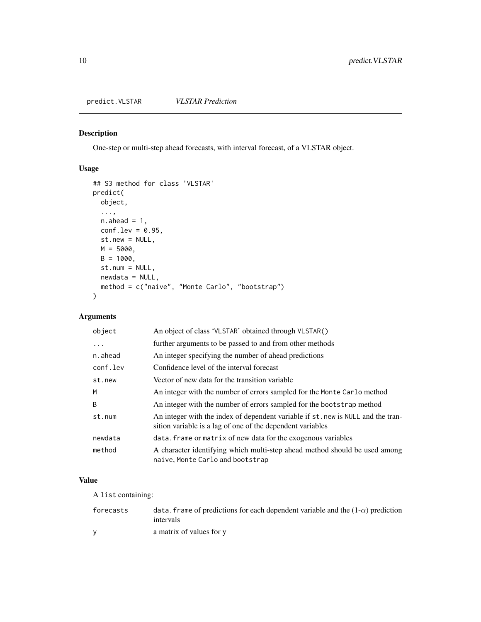#### <span id="page-9-1"></span><span id="page-9-0"></span>Description

One-step or multi-step ahead forecasts, with interval forecast, of a VLSTAR object.

#### Usage

```
## S3 method for class 'VLSTAR'
predict(
 object,
  ...,
 n.ahead = 1,
 conf.lev = 0.95,
 st.new = NULL,
 M = 5000,B = 1000,st.num = NULL,
 newdata = NULL,
 method = c("naive", "Monte Carlo", "bootstrap")
)
```
#### Arguments

| object   | An object of class 'VLSTAR' obtained through VLSTAR()                                                                                          |
|----------|------------------------------------------------------------------------------------------------------------------------------------------------|
| .        | further arguments to be passed to and from other methods                                                                                       |
| n.ahead  | An integer specifying the number of ahead predictions                                                                                          |
| conf.lev | Confidence level of the interval forecast                                                                                                      |
| st.new   | Vector of new data for the transition variable                                                                                                 |
| M        | An integer with the number of errors sampled for the Monte Carlo method                                                                        |
| B        | An integer with the number of errors sampled for the bootstrap method                                                                          |
| st.num   | An integer with the index of dependent variable if st. new is NULL and the tran-<br>sition variable is a lag of one of the dependent variables |
| newdata  | data. frame or matrix of new data for the exogenous variables                                                                                  |
| method   | A character identifying which multi-step ahead method should be used among<br>naive, Monte Carlo and bootstrap                                 |

#### Value

A list containing:

| forecasts | data. frame of predictions for each dependent variable and the $(1-\alpha)$ prediction<br>intervals |
|-----------|-----------------------------------------------------------------------------------------------------|
|           | a matrix of values for y                                                                            |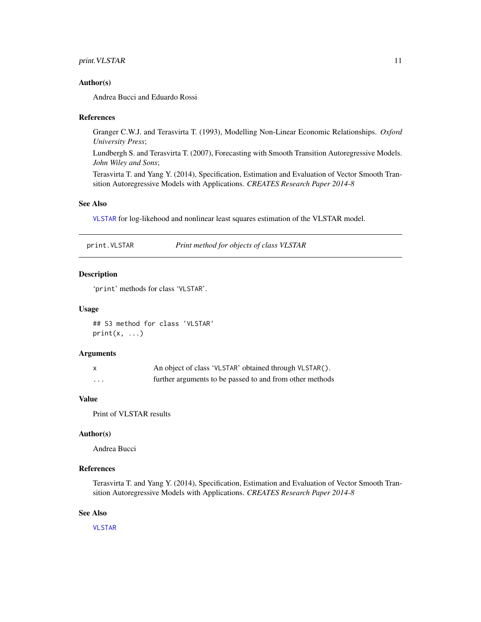#### <span id="page-10-0"></span>Author(s)

Andrea Bucci and Eduardo Rossi

#### References

Granger C.W.J. and Terasvirta T. (1993), Modelling Non-Linear Economic Relationships. *Oxford University Press*;

Lundbergh S. and Terasvirta T. (2007), Forecasting with Smooth Transition Autoregressive Models. *John Wiley and Sons*;

Terasvirta T. and Yang Y. (2014), Specification, Estimation and Evaluation of Vector Smooth Transition Autoregressive Models with Applications. *CREATES Research Paper 2014-8*

#### See Also

[VLSTAR](#page-16-1) for log-likehood and nonlinear least squares estimation of the VLSTAR model.

print.VLSTAR *Print method for objects of class VLSTAR*

#### Description

'print' methods for class 'VLSTAR'.

#### Usage

## S3 method for class 'VLSTAR'  $print(x, \ldots)$ 

#### Arguments

|   | An object of class 'VLSTAR' obtained through VLSTAR().   |
|---|----------------------------------------------------------|
| . | further arguments to be passed to and from other methods |

#### Value

Print of VLSTAR results

#### Author(s)

Andrea Bucci

#### References

Terasvirta T. and Yang Y. (2014), Specification, Estimation and Evaluation of Vector Smooth Transition Autoregressive Models with Applications. *CREATES Research Paper 2014-8*

#### See Also

[VLSTAR](#page-16-1)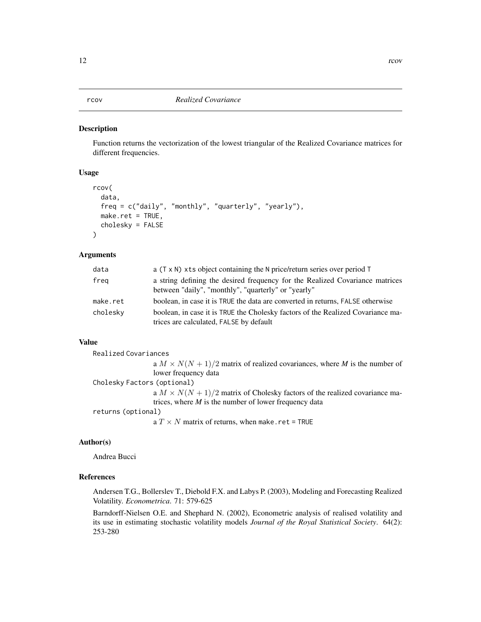#### <span id="page-11-1"></span><span id="page-11-0"></span>Description

Function returns the vectorization of the lowest triangular of the Realized Covariance matrices for different frequencies.

#### Usage

```
rcov(
  data,
  freq = c("daily", "monthly", "quarterly", "yearly"),
 make.ret = TRUE,
  cholesky = FALSE
\lambda
```
#### Arguments

| data     | a $(T \times N)$ xts object containing the N price/return series over period T                                                      |
|----------|-------------------------------------------------------------------------------------------------------------------------------------|
| freg     | a string defining the desired frequency for the Realized Covariance matrices<br>between "daily", "monthly", "quarterly" or "yearly" |
| make.ret | boolean, in case it is TRUE the data are converted in returns, FALSE otherwise                                                      |
| cholesky | boolean, in case it is TRUE the Cholesky factors of the Realized Covariance ma-<br>trices are calculated, FALSE by default          |

#### Value

```
Realized Covariances
                  a M \times N(N + 1)/2 matrix of realized covariances, where M is the number of
                  lower frequency data
Cholesky Factors (optional)
                  a M \times N(N + 1)/2 matrix of Cholesky factors of the realized covariance ma-
                  trices, where M is the number of lower frequency data
returns (optional)
                  a T \times N matrix of returns, when make.ret = TRUE
```
#### Author(s)

Andrea Bucci

#### References

Andersen T.G., Bollerslev T., Diebold F.X. and Labys P. (2003), Modeling and Forecasting Realized Volatility. *Econometrica*. 71: 579-625

Barndorff-Nielsen O.E. and Shephard N. (2002), Econometric analysis of realised volatility and its use in estimating stochastic volatility models *Journal of the Royal Statistical Society*. 64(2): 253-280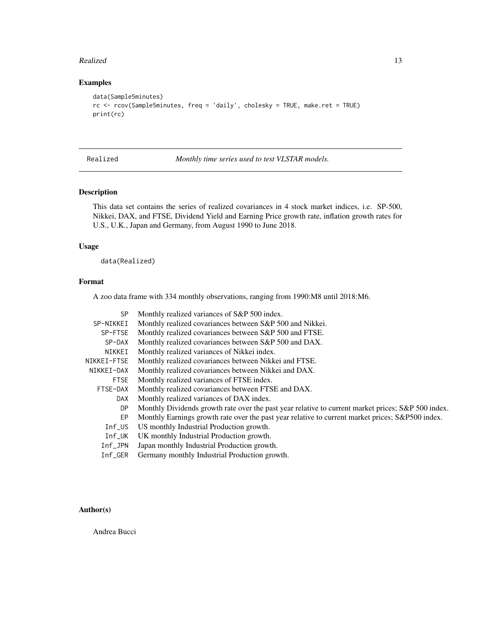#### <span id="page-12-0"></span>Realized 13

#### Examples

```
data(Sample5minutes)
rc <- rcov(Sample5minutes, freq = 'daily', cholesky = TRUE, make.ret = TRUE)
print(rc)
```
Realized *Monthly time series used to test VLSTAR models.*

#### Description

This data set contains the series of realized covariances in 4 stock market indices, i.e. SP-500, Nikkei, DAX, and FTSE, Dividend Yield and Earning Price growth rate, inflation growth rates for U.S., U.K., Japan and Germany, from August 1990 to June 2018.

#### Usage

data(Realized)

#### Format

A zoo data frame with 334 monthly observations, ranging from 1990:M8 until 2018:M6.

| SP.         | Monthly realized variances of S&P 500 index.                                                       |
|-------------|----------------------------------------------------------------------------------------------------|
| SP-NIKKEI   | Monthly realized covariances between S&P 500 and Nikkei.                                           |
| SP-FTSE     | Monthly realized covariances between S&P 500 and FTSE.                                             |
| SP-DAX      | Monthly realized covariances between S&P 500 and DAX.                                              |
| NIKKEI      | Monthly realized variances of Nikkei index.                                                        |
| NIKKEI-FTSE | Monthly realized covariances between Nikkei and FTSE.                                              |
| NIKKEI-DAX  | Monthly realized covariances between Nikkei and DAX.                                               |
| <b>FTSE</b> | Monthly realized variances of FTSE index.                                                          |
| FTSE-DAX    | Monthly realized covariances between FTSE and DAX.                                                 |
| <b>DAX</b>  | Monthly realized variances of DAX index.                                                           |
| DP.         | Monthly Dividends growth rate over the past year relative to current market prices; S&P 500 index. |
| EP          | Monthly Earnings growth rate over the past year relative to current market prices; S&P500 index.   |
| $Inf$ _US   | US monthly Industrial Production growth.                                                           |
| $Inf_U$ K   | UK monthly Industrial Production growth.                                                           |
| $Inf$ _JPN  | Japan monthly Industrial Production growth.                                                        |
| $Inf_GER$   | Germany monthly Industrial Production growth.                                                      |
|             |                                                                                                    |

#### Author(s)

Andrea Bucci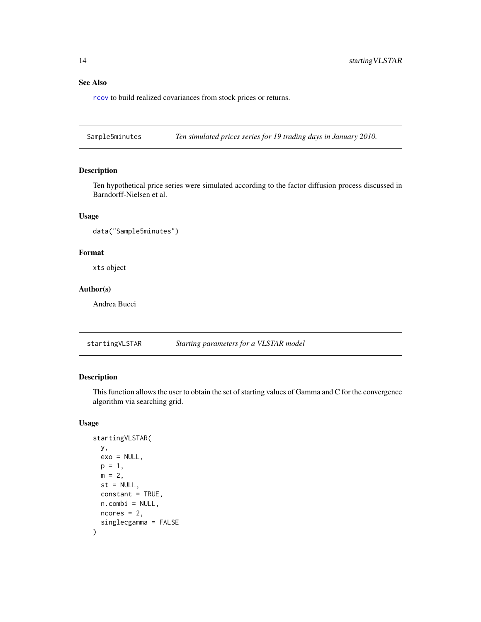#### <span id="page-13-0"></span>See Also

[rcov](#page-11-1) to build realized covariances from stock prices or returns.

Sample5minutes *Ten simulated prices series for 19 trading days in January 2010.*

#### Description

Ten hypothetical price series were simulated according to the factor diffusion process discussed in Barndorff-Nielsen et al.

#### Usage

```
data("Sample5minutes")
```
#### Format

xts object

#### Author(s)

Andrea Bucci

startingVLSTAR *Starting parameters for a VLSTAR model*

#### Description

This function allows the user to obtain the set of starting values of Gamma and C for the convergence algorithm via searching grid.

#### Usage

```
startingVLSTAR(
 y,
  exo = NULL,
 p = 1,
 m = 2,st = NULL,
  constant = TRUE,
 n.combi = NULL,
 ncores = 2,
  singlecgamma = FALSE
\mathcal{E}
```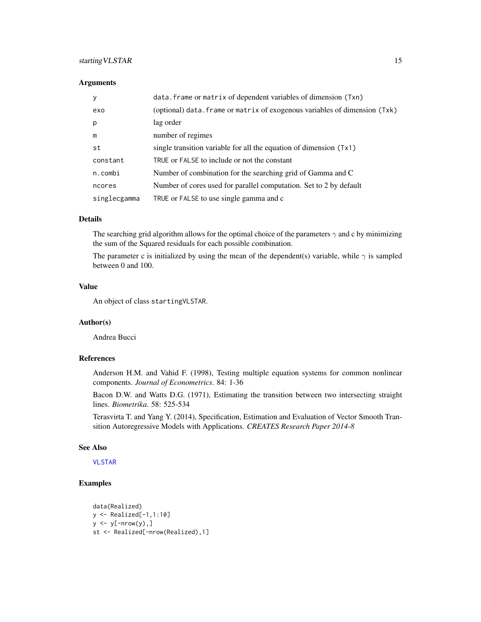#### <span id="page-14-0"></span>starting VLSTAR 15

#### **Arguments**

| y            | data. frame or matrix of dependent variables of dimension (Txn)            |
|--------------|----------------------------------------------------------------------------|
| exo          | (optional) data. frame or matrix of exogenous variables of dimension (Txk) |
| p            | lag order                                                                  |
| m            | number of regimes                                                          |
| st           | single transition variable for all the equation of dimension $(Tx1)$       |
| constant     | TRUE or FALSE to include or not the constant                               |
| n.combi      | Number of combination for the searching grid of Gamma and C                |
| ncores       | Number of cores used for parallel computation. Set to 2 by default         |
| singlecgamma | TRUE or FALSE to use single gamma and c                                    |

#### Details

The searching grid algorithm allows for the optimal choice of the parameters  $\gamma$  and c by minimizing the sum of the Squared residuals for each possible combination.

The parameter c is initialized by using the mean of the dependent(s) variable, while  $\gamma$  is sampled between 0 and 100.

#### Value

An object of class startingVLSTAR.

#### Author(s)

Andrea Bucci

#### References

Anderson H.M. and Vahid F. (1998), Testing multiple equation systems for common nonlinear components. *Journal of Econometrics*. 84: 1-36

Bacon D.W. and Watts D.G. (1971), Estimating the transition between two intersecting straight lines. *Biometrika*. 58: 525-534

Terasvirta T. and Yang Y. (2014), Specification, Estimation and Evaluation of Vector Smooth Transition Autoregressive Models with Applications. *CREATES Research Paper 2014-8*

#### See Also

[VLSTAR](#page-16-1)

#### Examples

```
data(Realized)
y <- Realized[-1,1:10]
y \le y[-nrow(y),]
st <- Realized[-nrow(Realized),1]
```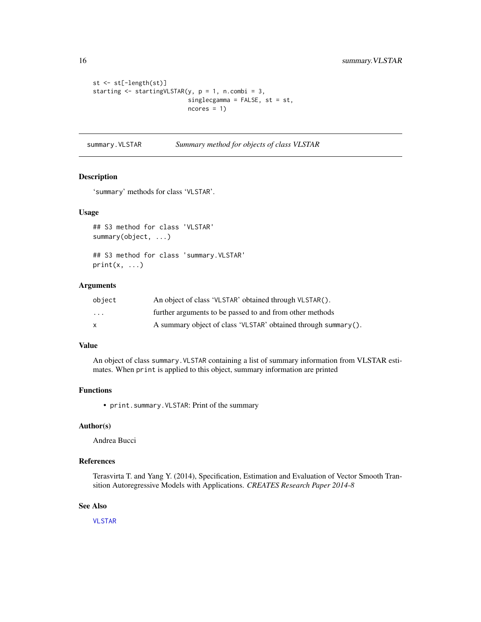```
st <- st[-length(st)]
starting \le startingVLSTAR(y, p = 1, n.combi = 3,
                           singlecgamma = FALSE, st = st,
                           ncores = 1
```
summary.VLSTAR *Summary method for objects of class VLSTAR*

#### Description

'summary' methods for class 'VLSTAR'.

#### Usage

## S3 method for class 'VLSTAR' summary(object, ...)

## S3 method for class 'summary.VLSTAR'  $print(x, \ldots)$ 

#### Arguments

| object                  | An object of class 'VLSTAR' obtained through VLSTAR().         |
|-------------------------|----------------------------------------------------------------|
| $\cdot$ $\cdot$ $\cdot$ | further arguments to be passed to and from other methods       |
| x                       | A summary object of class 'VLSTAR' obtained through summary(). |

#### Value

An object of class summary.VLSTAR containing a list of summary information from VLSTAR estimates. When print is applied to this object, summary information are printed

#### Functions

• print.summary.VLSTAR: Print of the summary

#### Author(s)

Andrea Bucci

#### References

Terasvirta T. and Yang Y. (2014), Specification, Estimation and Evaluation of Vector Smooth Transition Autoregressive Models with Applications. *CREATES Research Paper 2014-8*

#### See Also

[VLSTAR](#page-16-1)

<span id="page-15-0"></span>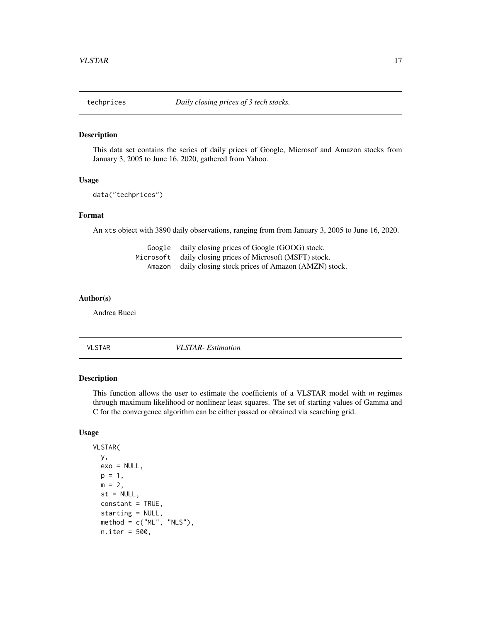<span id="page-16-0"></span>

#### Description

This data set contains the series of daily prices of Google, Microsof and Amazon stocks from January 3, 2005 to June 16, 2020, gathered from Yahoo.

#### Usage

```
data("techprices")
```
#### Format

An xts object with 3890 daily observations, ranging from from January 3, 2005 to June 16, 2020.

| Google    | daily closing prices of Google (GOOG) stock.       |
|-----------|----------------------------------------------------|
| Microsoft | daily closing prices of Microsoft (MSFT) stock.    |
| Amazon    | daily closing stock prices of Amazon (AMZN) stock. |

#### Author(s)

Andrea Bucci

<span id="page-16-1"></span>

VLSTAR *VLSTAR- Estimation*

#### Description

This function allows the user to estimate the coefficients of a VLSTAR model with *m* regimes through maximum likelihood or nonlinear least squares. The set of starting values of Gamma and C for the convergence algorithm can be either passed or obtained via searching grid.

#### Usage

```
VLSTAR(
 y,
 exo = NULL,
 p = 1,
 m = 2st = NULL,constant = TRUE,
  starting = NULL,
 method = c("ML", "NLS"),n.iter = 500,
```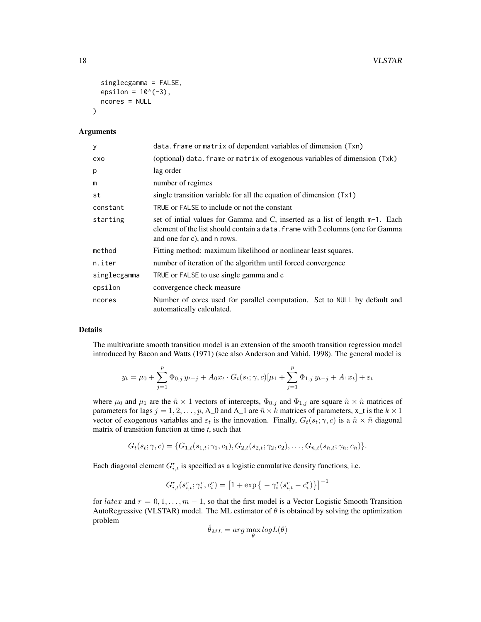```
singlecgamma = FALSE,
  epsilon = 10^(-3),
 ncores = NULL
)
```
#### Arguments

| У            | data. frame or matrix of dependent variables of dimension (Txn)                                                                                                                                |
|--------------|------------------------------------------------------------------------------------------------------------------------------------------------------------------------------------------------|
| exo          | (optional) data. frame or matrix of exogenous variables of dimension (Txk)                                                                                                                     |
| p            | lag order                                                                                                                                                                                      |
| m            | number of regimes                                                                                                                                                                              |
| st           | single transition variable for all the equation of dimension (Tx1)                                                                                                                             |
| constant     | TRUE or FALSE to include or not the constant                                                                                                                                                   |
| starting     | set of initial values for Gamma and C, inserted as a list of length m-1. Each<br>element of the list should contain a data. frame with 2 columns (one for Gamma<br>and one for c), and n rows. |
| method       | Fitting method: maximum likelihood or nonlinear least squares.                                                                                                                                 |
| n.iter       | number of iteration of the algorithm until forced convergence                                                                                                                                  |
| singlecgamma | TRUE or FALSE to use single gamma and c                                                                                                                                                        |
| epsilon      | convergence check measure                                                                                                                                                                      |
| ncores       | Number of cores used for parallel computation. Set to NULL by default and<br>automatically calculated.                                                                                         |

#### Details

The multivariate smooth transition model is an extension of the smooth transition regression model introduced by Bacon and Watts (1971) (see also Anderson and Vahid, 1998). The general model is

$$
y_t = \mu_0 + \sum_{j=1}^p \Phi_{0,j} y_{t-j} + A_0 x_t \cdot G_t(s_t; \gamma, c) [\mu_1 + \sum_{j=1}^p \Phi_{1,j} y_{t-j} + A_1 x_t] + \varepsilon_t
$$

where  $\mu_0$  and  $\mu_1$  are the  $\tilde{n} \times 1$  vectors of intercepts,  $\Phi_{0,j}$  and  $\Phi_{1,j}$  are square  $\tilde{n} \times \tilde{n}$  matrices of parameters for lags  $j = 1, 2, ..., p$ , A\_0 and A\_1 are  $\tilde{n} \times k$  matrices of parameters, x\_t is the  $k \times 1$ vector of exogenous variables and  $\varepsilon_t$  is the innovation. Finally,  $G_t(s_t; \gamma, c)$  is a  $\tilde{n} \times \tilde{n}$  diagonal matrix of transition function at time *t*, such that

$$
G_t(s_t; \gamma, c) = \{G_{1,t}(s_{1,t}; \gamma_1, c_1), G_{2,t}(s_{2,t}; \gamma_2, c_2), \ldots, G_{\tilde{n},t}(s_{\tilde{n},t}; \gamma_{\tilde{n}}, c_{\tilde{n}})\}.
$$

Each diagonal element  $G_{i,t}^r$  is specified as a logistic cumulative density functions, i.e.

$$
G_{i,t}^r(s_{i,t}^r;\gamma_i^r,c_i^r)=\left[1+\exp\big\{-\gamma_i^r(s_{i,t}^r-c_i^r)\big\}\right]^{-1}
$$

for latex and  $r = 0, 1, \ldots, m - 1$ , so that the first model is a Vector Logistic Smooth Transition AutoRegressive (VLSTAR) model. The ML estimator of  $\theta$  is obtained by solving the optimization problem

$$
\hat{\theta}_{ML} = arg \max_{\theta} log L(\theta)
$$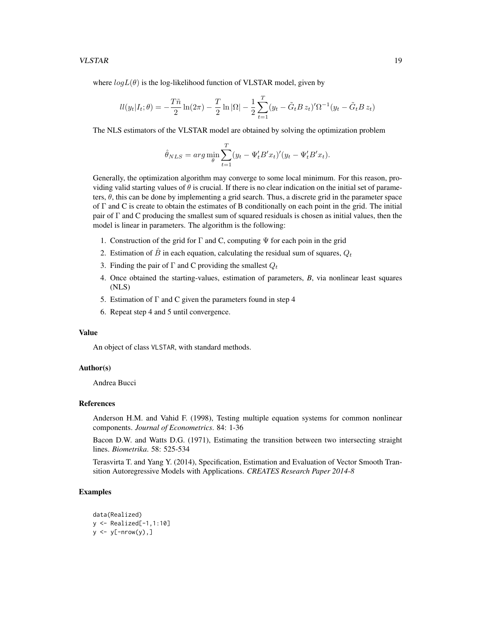where  $log L(\theta)$  is the log-likelihood function of VLSTAR model, given by

$$
ll(y_t|I_t; \theta) = -\frac{T\tilde{n}}{2}\ln(2\pi) - \frac{T}{2}\ln|\Omega| - \frac{1}{2}\sum_{t=1}^T (y_t - \tilde{G}_t B z_t)' \Omega^{-1} (y_t - \tilde{G}_t B z_t)
$$

The NLS estimators of the VLSTAR model are obtained by solving the optimization problem

$$
\hat{\theta}_{NLS} = arg \min_{\theta} \sum_{t=1}^{T} (y_t - \Psi_t' B' x_t)' (y_t - \Psi_t' B' x_t).
$$

Generally, the optimization algorithm may converge to some local minimum. For this reason, providing valid starting values of  $\theta$  is crucial. If there is no clear indication on the initial set of parameters,  $\theta$ , this can be done by implementing a grid search. Thus, a discrete grid in the parameter space of Γ and C is create to obtain the estimates of B conditionally on each point in the grid. The initial pair of Γ and C producing the smallest sum of squared residuals is chosen as initial values, then the model is linear in parameters. The algorithm is the following:

- 1. Construction of the grid for  $\Gamma$  and C, computing  $\Psi$  for each poin in the grid
- 2. Estimation of  $\hat{B}$  in each equation, calculating the residual sum of squares,  $Q_t$
- 3. Finding the pair of  $\Gamma$  and C providing the smallest  $Q_t$
- 4. Once obtained the starting-values, estimation of parameters, *B*, via nonlinear least squares (NLS)
- 5. Estimation of  $\Gamma$  and C given the parameters found in step 4
- 6. Repeat step 4 and 5 until convergence.

#### Value

An object of class VLSTAR, with standard methods.

#### Author(s)

Andrea Bucci

#### References

Anderson H.M. and Vahid F. (1998), Testing multiple equation systems for common nonlinear components. *Journal of Econometrics*. 84: 1-36

Bacon D.W. and Watts D.G. (1971), Estimating the transition between two intersecting straight lines. *Biometrika*. 58: 525-534

Terasvirta T. and Yang Y. (2014), Specification, Estimation and Evaluation of Vector Smooth Transition Autoregressive Models with Applications. *CREATES Research Paper 2014-8*

#### Examples

```
data(Realized)
y <- Realized[-1,1:10]
y \leftarrow y[-nrow(y),]
```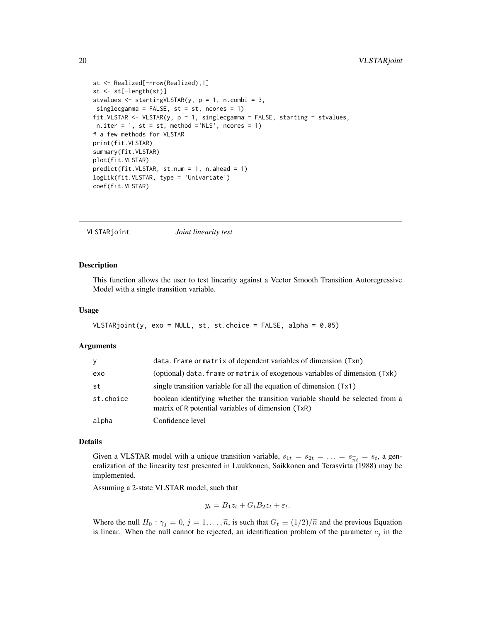```
st <- Realized[-nrow(Realized),1]
st <- st[-length(st)]
stvalues \le startingVLSTAR(y, p = 1, n.combi = 3,
singlecgamma = FALSE, st = st, ncores = 1)fit.VLSTAR <- VLSTAR(y, p = 1, singlecgamma = FALSE, starting = stvalues,
n.iter = 1, st = st, method = 'NLS', ncores = 1)
# a few methods for VLSTAR
print(fit.VLSTAR)
summary(fit.VLSTAR)
plot(fit.VLSTAR)
predict(fit.VLSTAR, st.num = 1, n.ahead = 1)
logLik(fit.VLSTAR, type = 'Univariate')
coef(fit.VLSTAR)
```
VLSTARjoint *Joint linearity test*

#### Description

This function allows the user to test linearity against a Vector Smooth Transition Autoregressive Model with a single transition variable.

#### Usage

```
VLSTARjoint(y, exo = NULL, st, st.choice = FALSE, alpha = 0.05)
```
#### Arguments

| y         | data. frame or matrix of dependent variables of dimension (Txn)                                                                     |
|-----------|-------------------------------------------------------------------------------------------------------------------------------------|
| exo       | (optional) data. frame or matrix of exogenous variables of dimension (Txk)                                                          |
| st        | single transition variable for all the equation of dimension (Tx1)                                                                  |
| st.choice | boolean identifying whether the transition variable should be selected from a<br>matrix of R potential variables of dimension (TxR) |
| alpha     | Confidence level                                                                                                                    |

#### Details

Given a VLSTAR model with a unique transition variable,  $s_{1t} = s_{2t} = \ldots = s_{\widetilde{n}t} = s_t$ , a generalization of the linearity test presented in Luukkonen, Saikkonen and Terasvirta (1988) may be eralization of the linearity test presented in Luukkonen, Saikkonen and Terasvirta (1988) may be implemented.

Assuming a 2-state VLSTAR model, such that

$$
y_t = B_1 z_t + G_t B_2 z_t + \varepsilon_t.
$$

Where the null  $H_0$ :  $\gamma_j = 0$ ,  $j = 1, \ldots, \tilde{n}$ , is such that  $G_t \equiv (1/2)/\tilde{n}$  and the previous Equation is linear. When the null cannot be rejected, an identification problem of the parameter  $c_j$  in the

<span id="page-19-0"></span>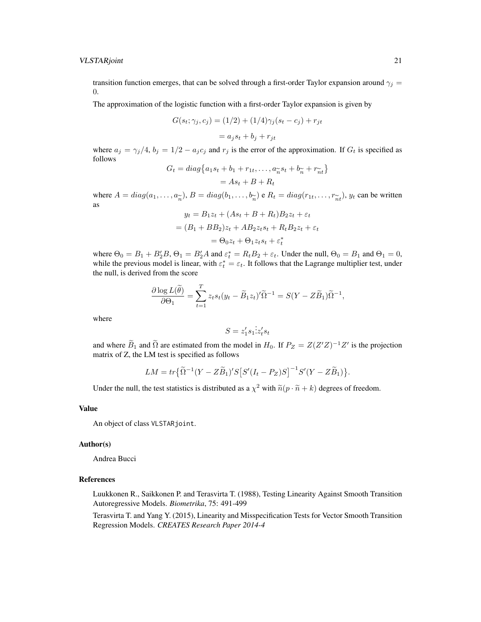transition function emerges, that can be solved through a first-order Taylor expansion around  $\gamma_i =$ 0.

The approximation of the logistic function with a first-order Taylor expansion is given by

$$
G(s_t; \gamma_j, c_j) = (1/2) + (1/4)\gamma_j(s_t - c_j) + r_{jt}
$$

$$
= a_j s_t + b_j + r_{jt}
$$

where  $a_j = \gamma_j/4$ ,  $b_j = 1/2 - a_j c_j$  and  $r_j$  is the error of the approximation. If  $G_t$  is specified as follows

$$
G_t = diag\{a_1s_t + b_1 + r_{1t}, \dots, a_{\widetilde{n}}s_t + b_{\widetilde{n}} + r_{\widetilde{n}t}\}
$$

$$
= As_t + B + R_t
$$

where  $A = diag(a_1, ..., a_{\tilde{n}}), B = diag(b_1, ..., b_{\tilde{n}})$  e  $R_t = diag(r_{1t}, ..., r_{\tilde{n}t}), y_t$  can be written as as

$$
y_t = B_1 z_t + (As_t + B + R_t)B_2 z_t + \varepsilon_t
$$
  
=  $(B_1 + BB_2)z_t + AB_2 z_t s_t + R_t B_2 z_t + \varepsilon_t$   
=  $\Theta_0 z_t + \Theta_1 z_t s_t + \varepsilon_t^*$ 

where  $\Theta_0 = B_1 + B_2' B$ ,  $\Theta_1 = B_2' A$  and  $\varepsilon_t^* = R_t B_2 + \varepsilon_t$ . Under the null,  $\Theta_0 = B_1$  and  $\Theta_1 = 0$ , while the previous model is linear, with  $\varepsilon_t^* = \varepsilon_t$ . It follows that the Lagrange multiplier test, under the null, is derived from the score

$$
\frac{\partial \log L(\widetilde{\theta})}{\partial \Theta_1} = \sum_{t=1}^T z_t s_t (y_t - \widetilde{B}_1 z_t) \widetilde{\Omega}^{-1} = S(Y - Z\widetilde{B}_1) \widetilde{\Omega}^{-1},
$$

where

$$
S = z_1's_1 \dot{z}_t's_t
$$

and where  $\widetilde{B}_1$  and  $\widetilde{\Omega}$  are estimated from the model in  $H_0$ . If  $P_Z = Z(Z'Z)^{-1}Z'$  is the projection matrix of Z, the LM test is specified as follows

$$
LM = tr\left\{\widetilde{\Omega}^{-1}(Y - Z\widetilde{B}_1)'S\big[S'(I_t - P_Z)S\big]^{-1}S'(Y - Z\widetilde{B}_1)\right\}.
$$

Under the null, the test statistics is distributed as a  $\chi^2$  with  $\tilde{n}(p \cdot \tilde{n} + k)$  degrees of freedom.

#### Value

An object of class VLSTARjoint.

#### Author(s)

Andrea Bucci

#### References

Luukkonen R., Saikkonen P. and Terasvirta T. (1988), Testing Linearity Against Smooth Transition Autoregressive Models. *Biometrika*, 75: 491-499

Terasvirta T. and Yang Y. (2015), Linearity and Misspecification Tests for Vector Smooth Transition Regression Models. *CREATES Research Paper 2014-4*